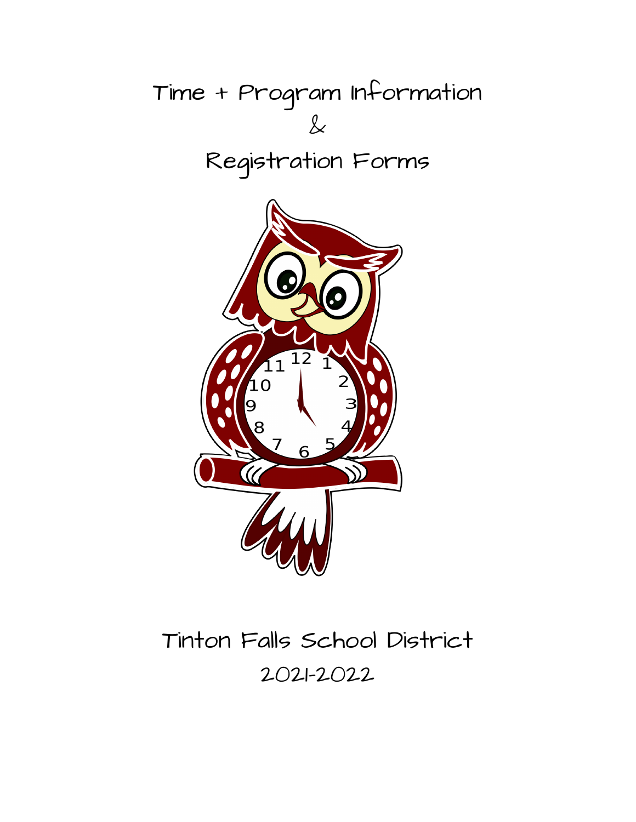

# Tinton Falls School District 2021-2022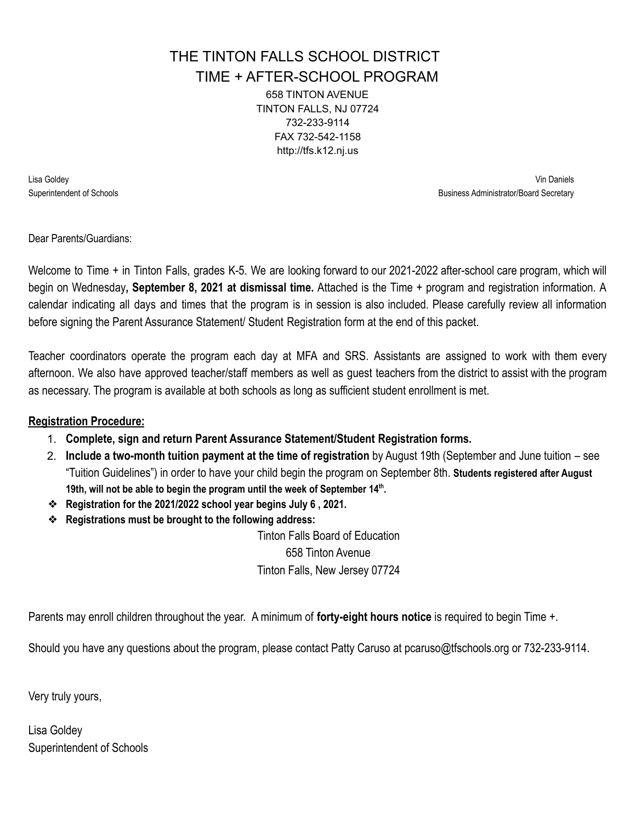# THE TINTON FALLS SCHOOL DISTRICT

TIME + AFTER-SCHOOL PROGRAM

658 TINTON AVENUE TINTON FALLS, NJ 07724 732-233-9114 FAX 732-542-1158 http://tfs.k12.nj.us

Lisa Goldey Vin Daniels Superintendent of Schools **Business Administrator/Board Secretary Business Administrator/Board Secretary** 

Dear Parents/Guardians:

Welcome to Time + in Tinton Falls, grades K-5. We are looking forward to our 2021-2022 after-school care program, which will begin on Wednesday**, September 8, 2021 at dismissal time.** Attached is the Time + program and registration information. A calendar indicating all days and times that the program is in session is also included. Please carefully review all information before signing the Parent Assurance Statement/ Student Registration form at the end of this packet.

Teacher coordinators operate the program each day at MFA and SRS. Assistants are assigned to work with them every afternoon. We also have approved teacher/staff members as well as guest teachers from the district to assist with the program as necessary. The program is available at both schools as long as sufficient student enrollment is met.

### **Registration Procedure:**

- 1. **Complete, sign and return Parent Assurance Statement/Student Registration forms.**
- 2. **Include a two-month tuition payment at the time of registration** by August 19th (September and June tuition see "Tuition Guidelines") in order to have your child begin the program on September 8th. **Students registered after August 19th, will not be able to begin the program until the week of September 14th .**
- ❖ **Registration for the 2021/2022 school year begins July 6 , 2021.**
- ❖ **Registrations must be brought to the following address:**

Tinton Falls Board of Education 658 Tinton Avenue Tinton Falls, New Jersey 07724

Parents may enroll children throughout the year. A minimum of **forty-eight hours notice** is required to begin Time +.

Should you have any questions about the program, please contact Patty Caruso at pcaruso@tfschools.org or 732-233-9114.

Very truly yours,

Lisa Goldey Superintendent of Schools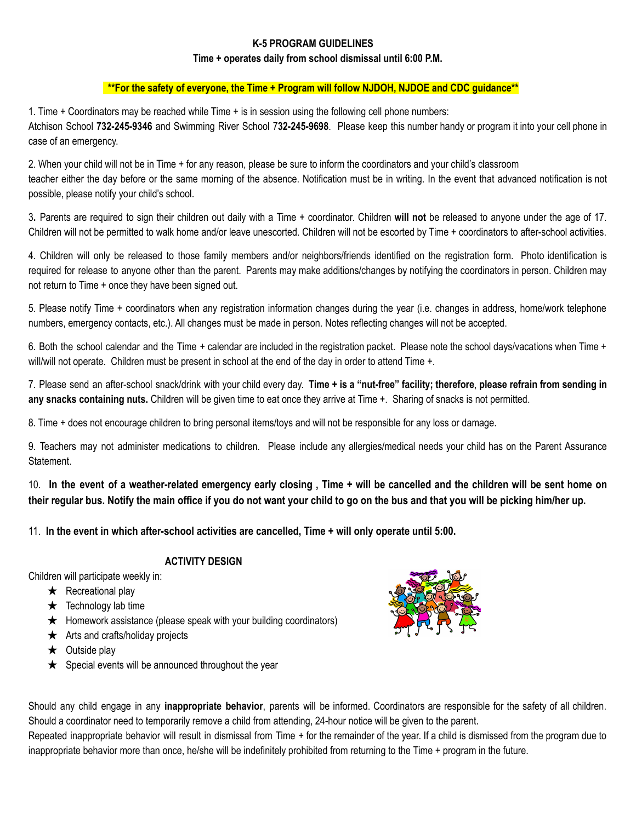#### **K-5 PROGRAM GUIDELINES**

#### **Time + operates daily from school dismissal until 6:00 P.M.**

#### **\*\*For the safety of everyone, the Time + Program will follow NJDOH, NJDOE and CDC guidance\*\***

1. Time + Coordinators may be reached while Time + is in session using the following cell phone numbers: Atchison School **732-245-9346** and Swimming River School 7**32-245-9698**. Please keep this number handy or program it into your cell phone in case of an emergency.

2. When your child will not be in Time + for any reason, please be sure to inform the coordinators and your child's classroom teacher either the day before or the same morning of the absence. Notification must be in writing. In the event that advanced notification is not possible, please notify your child's school.

3**.** Parents are required to sign their children out daily with a Time + coordinator. Children **will not** be released to anyone under the age of 17. Children will not be permitted to walk home and/or leave unescorted. Children will not be escorted by Time + coordinators to after-school activities.

4. Children will only be released to those family members and/or neighbors/friends identified on the registration form. Photo identification is required for release to anyone other than the parent. Parents may make additions/changes by notifying the coordinators in person. Children may not return to Time + once they have been signed out.

5. Please notify Time + coordinators when any registration information changes during the year (i.e. changes in address, home/work telephone numbers, emergency contacts, etc.). All changes must be made in person. Notes reflecting changes will not be accepted.

6. Both the school calendar and the Time + calendar are included in the registration packet. Please note the school days/vacations when Time + will/will not operate. Children must be present in school at the end of the day in order to attend Time +.

7. Please send an after-school snack/drink with your child every day. Time + is a "nut-free" facility; therefore, please refrain from sending in **any snacks containing nuts.** Children will be given time to eat once they arrive at Time +. Sharing of snacks is not permitted.

8. Time + does not encourage children to bring personal items/toys and will not be responsible for any loss or damage.

9. Teachers may not administer medications to children. Please include any allergies/medical needs your child has on the Parent Assurance Statement.

10. In the event of a weather-related emergency early closing, Time + will be cancelled and the children will be sent home on their regular bus. Notify the main office if you do not want your child to go on the bus and that you will be picking him/her up.

11. **In the event in which after-school activities are cancelled, Time + will only operate until 5:00.**

#### **ACTIVITY DESIGN**

Children will participate weekly in:

- $\star$  Recreational play
- $\star$  Technology lab time
- $\star$  Homework assistance (please speak with your building coordinators)
- $\star$  Arts and crafts/holiday projects
- $\star$  Outside play
- $\star$  Special events will be announced throughout the year



Should any child engage in any **inappropriate behavior**, parents will be informed. Coordinators are responsible for the safety of all children. Should a coordinator need to temporarily remove a child from attending, 24-hour notice will be given to the parent.

Repeated inappropriate behavior will result in dismissal from Time + for the remainder of the year. If a child is dismissed from the program due to inappropriate behavior more than once, he/she will be indefinitely prohibited from returning to the Time + program in the future.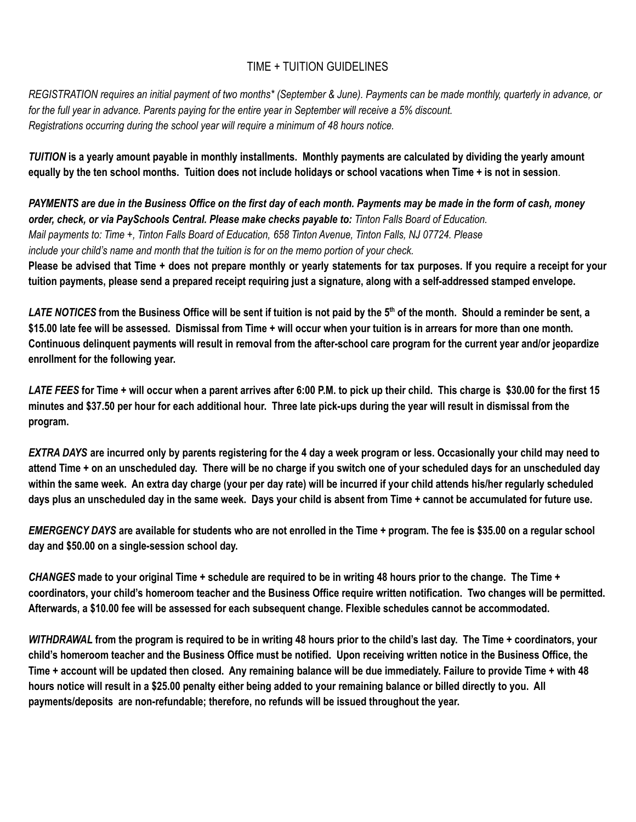### TIME + TUITION GUIDELINES

REGISTRATION requires an initial payment of two months\* (September & June). Payments can be made monthly, quarterly in advance, or for the full year in advance. Parents paying for the entire year in September will receive a 5% discount. *Registrations occurring during the school year will require a minimum of 48 hours notice.*

TUITION is a yearly amount payable in monthly installments. Monthly payments are calculated by dividing the yearly amount equally by the ten school months. Tuition does not include holidays or school vacations when Time + is not in session.

PAYMENTS are due in the Business Office on the first day of each month. Payments may be made in the form of cash, money *order, check, or via PaySchools Central. Please make checks payable to: Tinton Falls Board of Education.* Mail payments to: Time +, Tinton Falls Board of Education, 658 Tinton Avenue, Tinton Falls, NJ 07724. Please *include your child's name and month that the tuition is for on the memo portion of your check.*

Please be advised that Time + does not prepare monthly or yearly statements for tax purposes. If you require a receipt for your tuition payments, please send a prepared receipt requiring just a signature, along with a self-addressed stamped envelope.

LATE NOTICES from the Business Office will be sent if tuition is not paid by the 5<sup>th</sup> of the month. Should a reminder be sent, a \$15.00 late fee will be assessed. Dismissal from Time + will occur when your tuition is in arrears for more than one month. Continuous delinguent payments will result in removal from the after-school care program for the current year and/or jeopardize **enrollment for the following year.**

LATE FEES for Time + will occur when a parent arrives after 6:00 P.M. to pick up their child. This charge is \$30.00 for the first 15 minutes and \$37.50 per hour for each additional hour. Three late pick-ups during the year will result in dismissal from the **program.**

EXTRA DAYS are incurred only by parents registering for the 4 day a week program or less. Occasionally your child may need to attend Time + on an unscheduled day. There will be no charge if you switch one of your scheduled days for an unscheduled day within the same week. An extra day charge (your per day rate) will be incurred if your child attends his/her regularly scheduled days plus an unscheduled day in the same week. Days your child is absent from Time + cannot be accumulated for future use.

EMERGENCY DAYS are available for students who are not enrolled in the Time + program. The fee is \$35.00 on a regular school **day and \$50.00 on a single-session school day.**

CHANGES made to your original Time + schedule are required to be in writing 48 hours prior to the change. The Time + coordinators, your child's homeroom teacher and the Business Office require written notification. Two changes will be permitted. **Afterwards, a \$10.00 fee will be assessed for each subsequent change. Flexible schedules cannot be accommodated.**

WITHDRAWAL from the program is required to be in writing 48 hours prior to the child's last day. The Time + coordinators, your child's homeroom teacher and the Business Office must be notified. Upon receiving written notice in the Business Office, the Time + account will be updated then closed. Any remaining balance will be due immediately. Failure to provide Time + with 48 hours notice will result in a \$25.00 penalty either being added to your remaining balance or billed directly to you. All **payments/deposits are non-refundable; therefore, no refunds will be issued throughout the year.**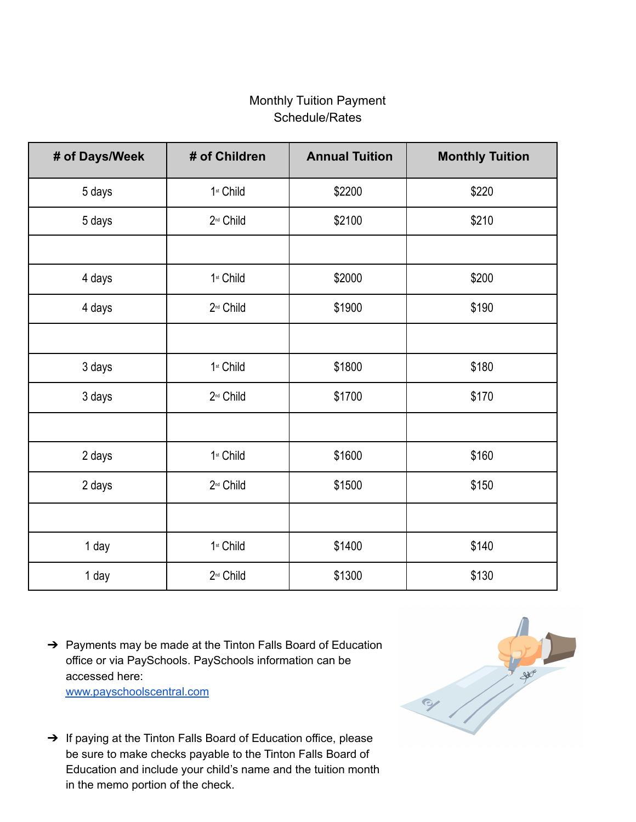## Monthly Tuition Payment Schedule/Rates

| # of Days/Week | # of Children         | <b>Annual Tuition</b> | <b>Monthly Tuition</b> |
|----------------|-----------------------|-----------------------|------------------------|
| 5 days         | 1 <sup>st</sup> Child | \$2200                | \$220                  |
| 5 days         | 2 <sup>nd</sup> Child | \$2100                | \$210                  |
|                |                       |                       |                        |
| 4 days         | 1st Child             | \$2000                | \$200                  |
| 4 days         | 2 <sup>nd</sup> Child | \$1900                | \$190                  |
|                |                       |                       |                        |
| 3 days         | 1st Child             | \$1800                | \$180                  |
| 3 days         | 2 <sup>nd</sup> Child | \$1700                | \$170                  |
|                |                       |                       |                        |
| 2 days         | 1 <sup>st</sup> Child | \$1600                | \$160                  |
| 2 days         | 2 <sup>nd</sup> Child | \$1500                | \$150                  |
|                |                       |                       |                        |
| 1 day          | 1st Child             | \$1400                | \$140                  |
| 1 day          | 2 <sup>nd</sup> Child | \$1300                | \$130                  |

→ Payments may be made at the Tinton Falls Board of Education office or via PaySchools. PaySchools information can be accessed here:

[www.payschoolscentral.com](http://www.payschoolscentral.com/)

- 21
- ➔ If paying at the Tinton Falls Board of Education office, please be sure to make checks payable to the Tinton Falls Board of Education and include your child's name and the tuition month in the memo portion of the check.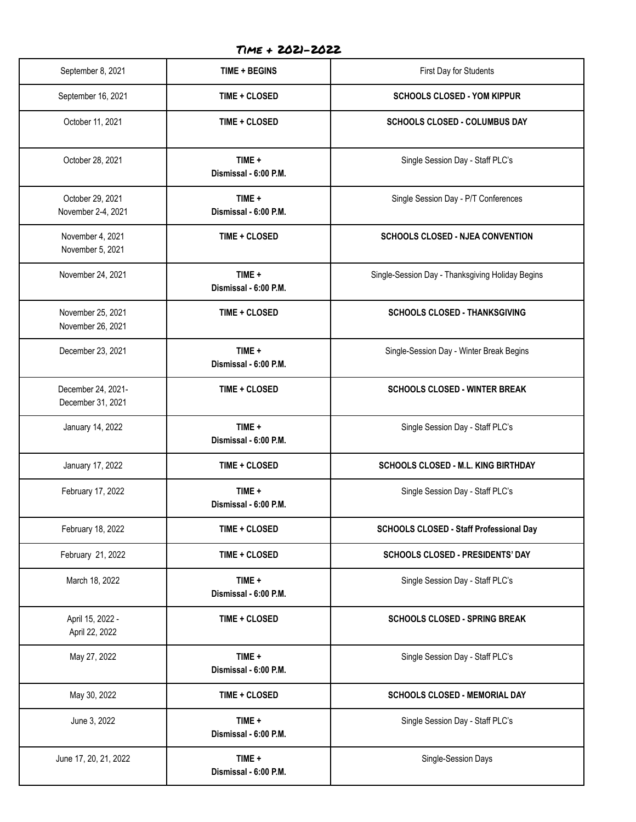Time + 2021-2022

| September 8, 2021                       | <b>TIME + BEGINS</b>            | First Day for Students                           |  |  |
|-----------------------------------------|---------------------------------|--------------------------------------------------|--|--|
| September 16, 2021                      | TIME + CLOSED                   | <b>SCHOOLS CLOSED - YOM KIPPUR</b>               |  |  |
| October 11, 2021                        | TIME + CLOSED                   | <b>SCHOOLS CLOSED - COLUMBUS DAY</b>             |  |  |
| October 28, 2021                        | TIME +<br>Dismissal - 6:00 P.M. | Single Session Day - Staff PLC's                 |  |  |
| October 29, 2021<br>November 2-4, 2021  | TIME +<br>Dismissal - 6:00 P.M. | Single Session Day - P/T Conferences             |  |  |
| November 4, 2021<br>November 5, 2021    | TIME + CLOSED                   | <b>SCHOOLS CLOSED - NJEA CONVENTION</b>          |  |  |
| November 24, 2021                       | TIME +<br>Dismissal - 6:00 P.M. | Single-Session Day - Thanksgiving Holiday Begins |  |  |
| November 25, 2021<br>November 26, 2021  | <b>TIME + CLOSED</b>            | <b>SCHOOLS CLOSED - THANKSGIVING</b>             |  |  |
| December 23, 2021                       | TIME +<br>Dismissal - 6:00 P.M. | Single-Session Day - Winter Break Begins         |  |  |
| December 24, 2021-<br>December 31, 2021 | TIME + CLOSED                   | <b>SCHOOLS CLOSED - WINTER BREAK</b>             |  |  |
| January 14, 2022                        | TIME +<br>Dismissal - 6:00 P.M. | Single Session Day - Staff PLC's                 |  |  |
| January 17, 2022                        | TIME + CLOSED                   | <b>SCHOOLS CLOSED - M.L. KING BIRTHDAY</b>       |  |  |
| February 17, 2022                       | TIME +<br>Dismissal - 6:00 P.M. | Single Session Day - Staff PLC's                 |  |  |
| February 18, 2022                       | TIME + CLOSED                   | <b>SCHOOLS CLOSED - Staff Professional Day</b>   |  |  |
| February 21, 2022                       | TIME + CLOSED                   | SCHOOLS CLOSED - PRESIDENTS' DAY                 |  |  |
| March 18, 2022                          | TIME +<br>Dismissal - 6:00 P.M. | Single Session Day - Staff PLC's                 |  |  |
| April 15, 2022 -<br>April 22, 2022      | TIME + CLOSED                   | <b>SCHOOLS CLOSED - SPRING BREAK</b>             |  |  |
| May 27, 2022                            | TIME +<br>Dismissal - 6:00 P.M. | Single Session Day - Staff PLC's                 |  |  |
| May 30, 2022                            | TIME + CLOSED                   | SCHOOLS CLOSED - MEMORIAL DAY                    |  |  |
| June 3, 2022                            | TIME +<br>Dismissal - 6:00 P.M. | Single Session Day - Staff PLC's                 |  |  |
| June 17, 20, 21, 2022                   | TIME +<br>Dismissal - 6:00 P.M. | Single-Session Days                              |  |  |